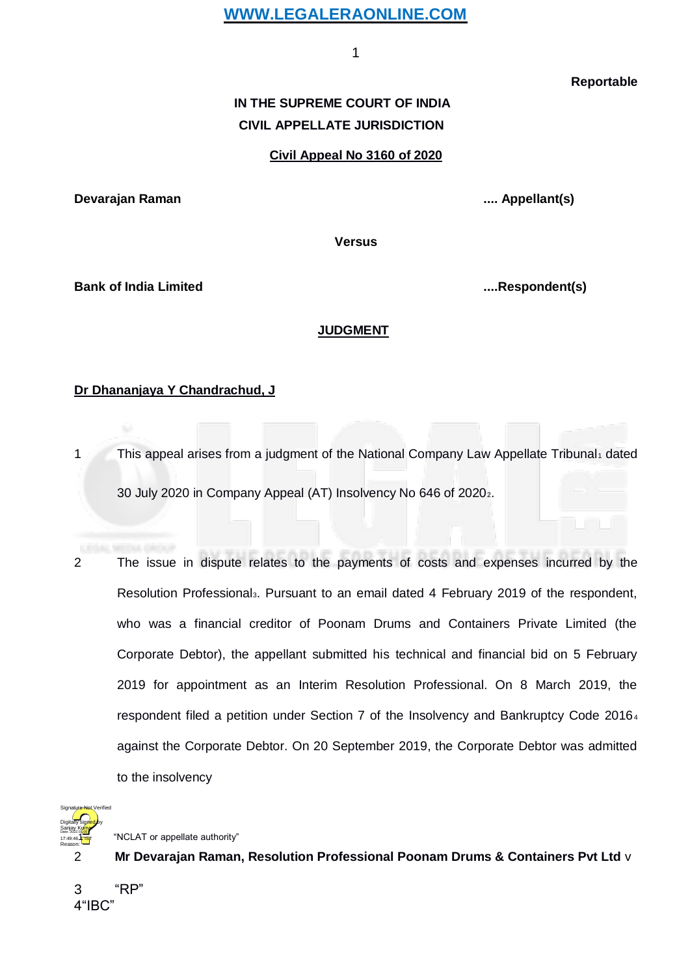1

**Reportable**

# **IN THE SUPREME COURT OF INDIA CIVIL APPELLATE JURISDICTION**

#### **Civil Appeal No 3160 of 2020**

<span id="page-0-0"></span>**Devarajan Raman .... Appellant(s)**

**Versus**

**Bank of India Limited ....Respondent(s)**

#### **JUDGMENT**

#### **Dr Dhananjaya Y Chandrachud, J**

1 This appeal arises from a ju[d](#page-0-0)gment of the National Company Law Appellate Tribunal dated 30 July 2020 in Company Appeal (AT) Insolvency No 646 of 20202[.](#page-0-0)

2 The issue in dispute relates to the payments of costs and expenses incurred by the Resolution Professional<sub>3</sub>[.](#page-0-0) Pursuant to an email dated 4 February 2019 of the respondent, who was a financial creditor of Poonam Drums and Containers Private Limited (the Corporate Debtor), the appellant submitted his technical and financial bid on 5 February 2019 for appointment as an Interim Resolution Professional. On 8 March 2019, the respondent filed a petition under Section 7 of the Insolvency and Bankruptcy Code 201[6](#page-0-0)<sup>4</sup> against the Corporate Debtor. On 20 September 2019, the Corporate Debtor was admitted to the insolvency



"NCLAT or appellate authority"

2 **Mr Devarajan Raman, Resolution Professional Poonam Drums & Containers Pvt Ltd** v

3 "RP" 4"IBC"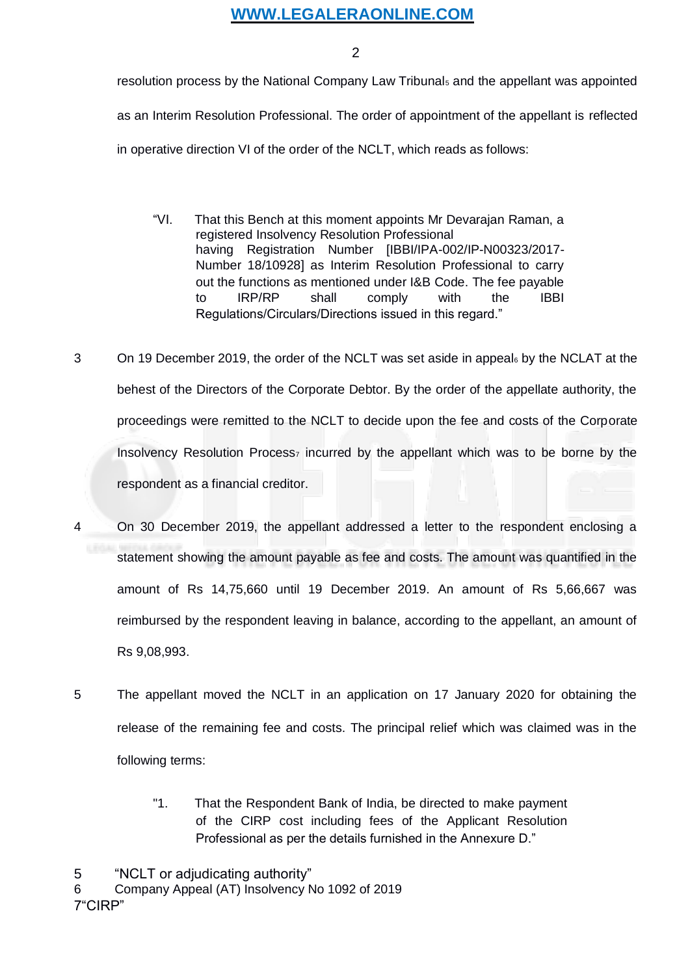2

<span id="page-1-0"></span>resolution process by the N[a](#page-1-0)tional Company Law Tribunal<sub>5</sub> and the appellant was appointed as an Interim Resolution Professional. The order of appointment of the appellant is reflected in operative direction VI of the order of the NCLT, which reads as follows:

- "VI. That this Bench at this moment appoints Mr Devarajan Raman, a registered Insolvency Resolution Professional having Registration Number [IBBI/IPA-002/IP-N00323/2017- Number 18/10928] as Interim Resolution Professional to carry out the functions as mentioned under I&B Code. The fee payable to IRP/RP shall comply with the IBBI Regulations/Circulars/Directions issued in this regard."
- 3 On 19 December 2019, the order of the NCLT was set aside in appea[l](#page-1-0) by the NCLAT at the behest of the Directors of the Corporate Debtor. By the order of the appellate authority, the proceedings were remitted to the NCLT to decide upon the fee and costs of the Corporate Insolvency Resolut[i](#page-1-0)on Process<sub>7</sub> incurred by the appellant which was to be borne by the respondent as a financial creditor.
- 4 On 30 December 2019, the appellant addressed a letter to the respondent enclosing a statement showing the amount payable as fee and costs. The amount was quantified in the amount of Rs 14,75,660 until 19 December 2019. An amount of Rs 5,66,667 was reimbursed by the respondent leaving in balance, according to the appellant, an amount of Rs 9,08,993.
- 5 The appellant moved the NCLT in an application on 17 January 2020 for obtaining the release of the remaining fee and costs. The principal relief which was claimed was in the following terms:
	- "1. That the Respondent Bank of India, be directed to make payment of the CIRP cost including fees of the Applicant Resolution Professional as per the details furnished in the Annexure D."

5 "NCLT or adjudicating authority"

6 Company Appeal (AT) Insolvency No 1092 of 2019

7"CIRP"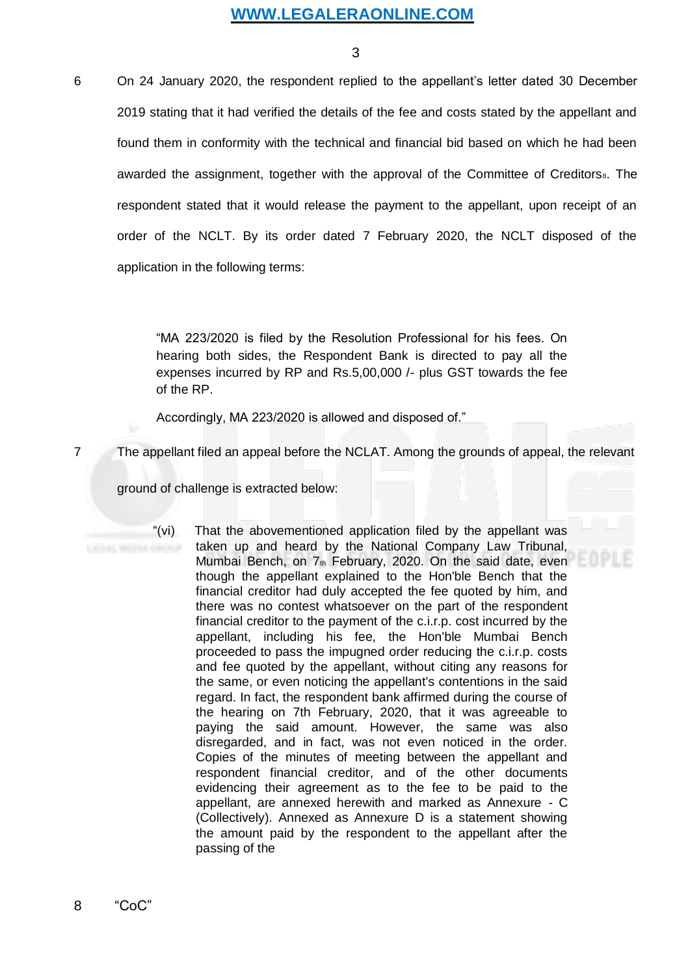3

<span id="page-2-0"></span>6 On 24 January 2020, the respondent replied to the appellant's letter dated 30 December 2019 stating that it had verified the details of the fee and costs stated by the appellant and found them in conformity with the technical and financial bid based on which he had been awarded the assignment, together with the approval of the Committee of Creditors<sub>[8](#page-2-0)</sub>. The respondent stated that it would release the payment to the appellant, upon receipt of an order of the NCLT. By its order dated 7 February 2020, the NCLT disposed of the application in the following terms:

> "MA 223/2020 is filed by the Resolution Professional for his fees. On hearing both sides, the Respondent Bank is directed to pay all the expenses incurred by RP and Rs.5,00,000 /- plus GST towards the fee of the RP.

Accordingly, MA 223/2020 is allowed and disposed of."

7 The appellant filed an appeal before the NCLAT. Among the grounds of appeal, the relevant

ground of challenge is extracted below:

"(vi) That the abovementioned application filed by the appellant was taken up and heard by the National Company Law Tribunal, Mumbai Bench, on 7th February, 2020. On the said date, even though the appellant explained to the Hon'ble Bench that the financial creditor had duly accepted the fee quoted by him, and there was no contest whatsoever on the part of the respondent financial creditor to the payment of the c.i.r.p. cost incurred by the appellant, including his fee, the Hon'ble Mumbai Bench proceeded to pass the impugned order reducing the c.i.r.p. costs and fee quoted by the appellant, without citing any reasons for the same, or even noticing the appellant's contentions in the said regard. In fact, the respondent bank affirmed during the course of the hearing on 7th February, 2020, that it was agreeable to paying the said amount. However, the same was also disregarded, and in fact, was not even noticed in the order. Copies of the minutes of meeting between the appellant and respondent financial creditor, and of the other documents evidencing their agreement as to the fee to be paid to the appellant, are annexed herewith and marked as Annexure - C (Collectively). Annexed as Annexure D is a statement showing the amount paid by the respondent to the appellant after the passing of the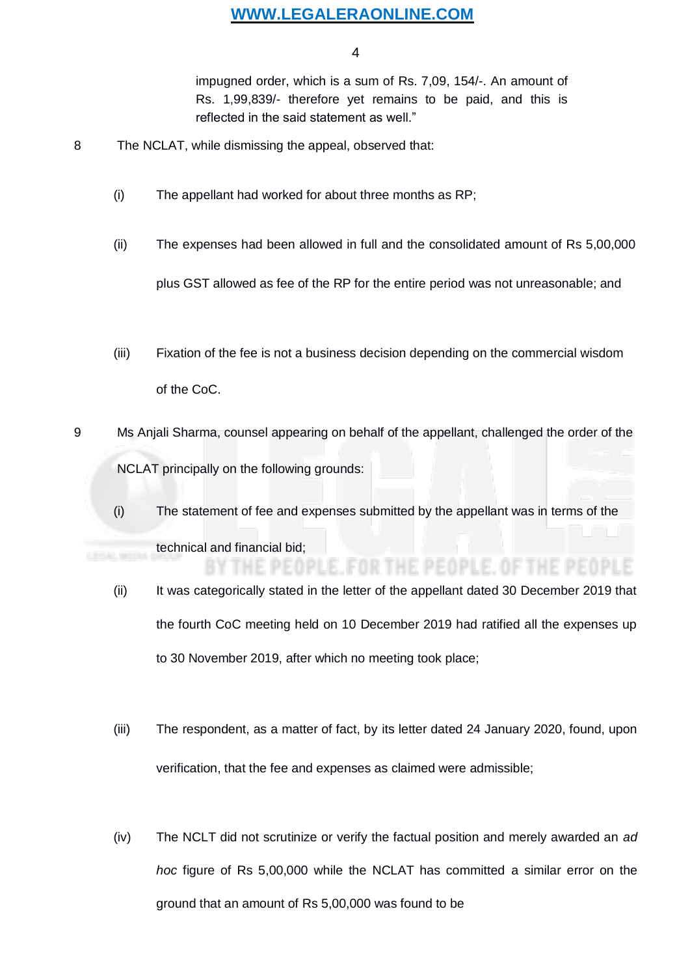4

impugned order, which is a sum of Rs. 7,09, 154/-. An amount of Rs. 1,99,839/- therefore yet remains to be paid, and this is reflected in the said statement as well."

- 8 The NCLAT, while dismissing the appeal, observed that:
	- (i) The appellant had worked for about three months as RP;
	- (ii) The expenses had been allowed in full and the consolidated amount of Rs 5,00,000 plus GST allowed as fee of the RP for the entire period was not unreasonable; and
	- (iii) Fixation of the fee is not a business decision depending on the commercial wisdom of the CoC.
- 9 Ms Anjali Sharma, counsel appearing on behalf of the appellant, challenged the order of the NCLAT principally on the following grounds:
	- (i) The statement of fee and expenses submitted by the appellant was in terms of the technical and financial bid;
	- (ii) It was categorically stated in the letter of the appellant dated 30 December 2019 that the fourth CoC meeting held on 10 December 2019 had ratified all the expenses up to 30 November 2019, after which no meeting took place;

THE PEOPLE, FOR THE PEOPLE, OF THE PEOPLE

- (iii) The respondent, as a matter of fact, by its letter dated 24 January 2020, found, upon verification, that the fee and expenses as claimed were admissible;
- (iv) The NCLT did not scrutinize or verify the factual position and merely awarded an *ad hoc* figure of Rs 5,00,000 while the NCLAT has committed a similar error on the ground that an amount of Rs 5,00,000 was found to be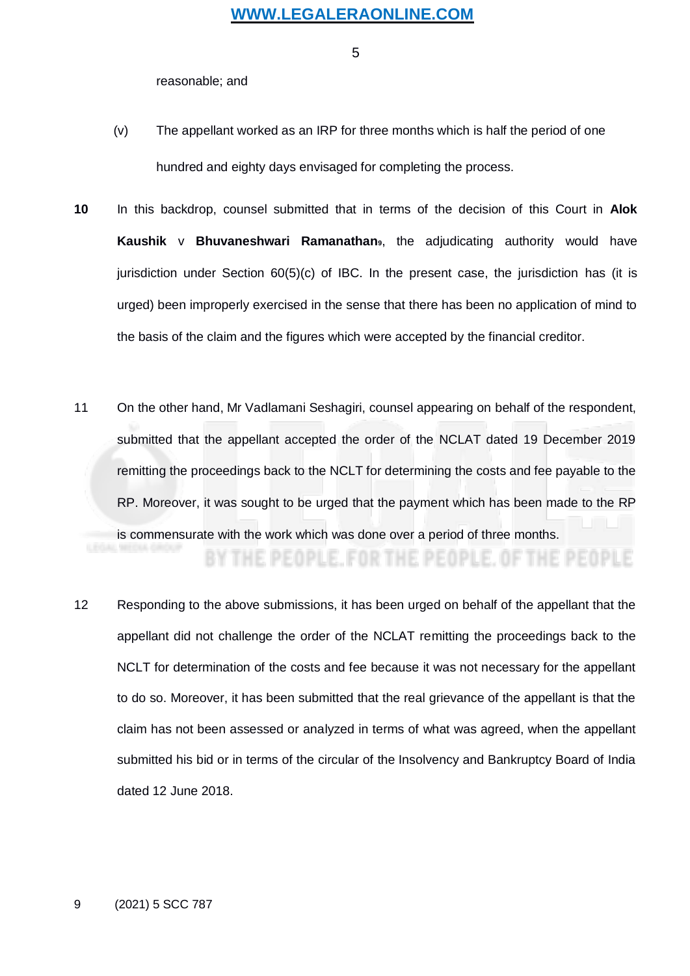5

reasonable; and

- <span id="page-4-0"></span>(v) The appellant worked as an IRP for three months which is half the period of one hundred and eighty days envisaged for completing the process.
- **10** In this backdrop, counsel submitted that in terms of the decision of this Court in **Alok Kaushik** v **Bhuvaneshwari Ramanathan9**[,](#page-4-0) the adjudicating authority would have jurisdiction under Section 60(5)(c) of IBC. In the present case, the jurisdiction has (it is urged) been improperly exercised in the sense that there has been no application of mind to the basis of the claim and the figures which were accepted by the financial creditor.
- 11 On the other hand, Mr Vadlamani Seshagiri, counsel appearing on behalf of the respondent, submitted that the appellant accepted the order of the NCLAT dated 19 December 2019 remitting the proceedings back to the NCLT for determining the costs and fee payable to the RP. Moreover, it was sought to be urged that the payment which has been made to the RP is commensurate with the work which was done over a period of three months.

BY THE PEOPLE, FOR THE PEOPLE, OF THE PEOPLE

12 Responding to the above submissions, it has been urged on behalf of the appellant that the appellant did not challenge the order of the NCLAT remitting the proceedings back to the NCLT for determination of the costs and fee because it was not necessary for the appellant to do so. Moreover, it has been submitted that the real grievance of the appellant is that the claim has not been assessed or analyzed in terms of what was agreed, when the appellant submitted his bid or in terms of the circular of the Insolvency and Bankruptcy Board of India dated 12 June 2018.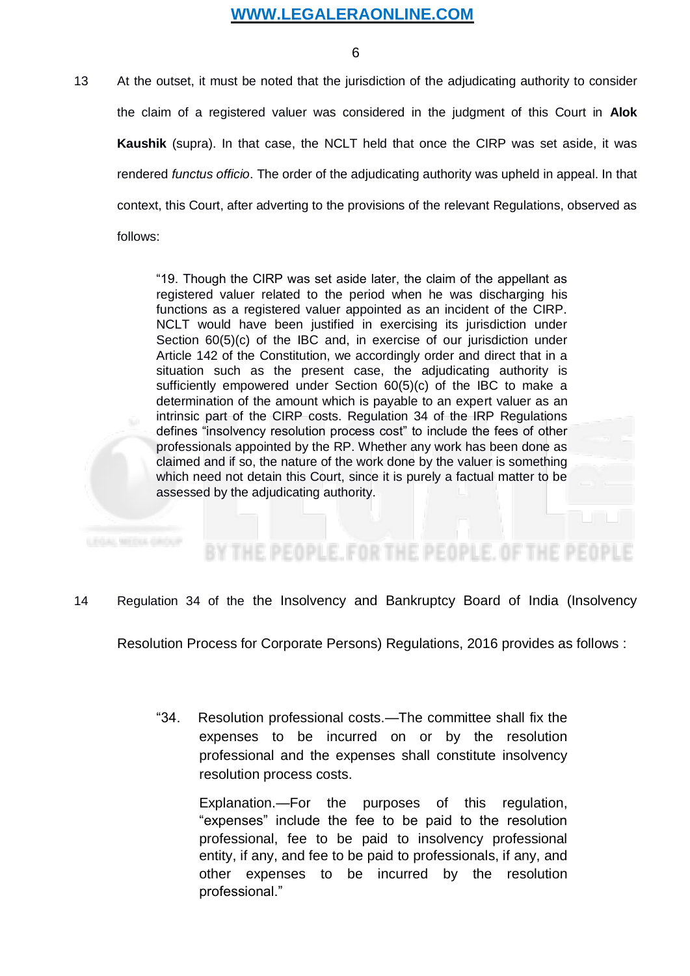6

13 At the outset, it must be noted that the jurisdiction of the adjudicating authority to consider the claim of a registered valuer was considered in the judgment of this Court in **Alok Kaushik** (supra). In that case, the NCLT held that once the CIRP was set aside, it was rendered *functus officio*. The order of the adjudicating authority was upheld in appeal. In that context, this Court, after adverting to the provisions of the relevant Regulations, observed as follows:

> "19. Though the CIRP was set aside later, the claim of the appellant as registered valuer related to the period when he was discharging his functions as a registered valuer appointed as an incident of the CIRP. NCLT would have been justified in exercising its jurisdiction under Section 60(5)(c) of the IBC and, in exercise of our jurisdiction under Article 142 of the Constitution, we accordingly order and direct that in a situation such as the present case, the adjudicating authority is sufficiently empowered under Section 60(5)(c) of the IBC to make a determination of the amount which is payable to an expert valuer as an intrinsic part of the CIRP costs. Regulation 34 of the IRP Regulations defines "insolvency resolution process cost" to include the fees of other professionals appointed by the RP. Whether any work has been done as claimed and if so, the nature of the work done by the valuer is something which need not detain this Court, since it is purely a factual matter to be assessed by the adjudicating authority.

# BY THE PEOPLE, FOR THE PEOPLE, OF THE PEOPL

#### 14 Regulation 34 of the the Insolvency and Bankruptcy Board of India (Insolvency

Resolution Process for Corporate Persons) Regulations, 2016 provides as follows :

"34. Resolution professional costs.—The committee shall fix the expenses to be incurred on or by the resolution professional and the expenses shall constitute insolvency resolution process costs.

> Explanation.—For the purposes of this regulation, "expenses" include the fee to be paid to the resolution professional, fee to be paid to insolvency professional entity, if any, and fee to be paid to professionals, if any, and other expenses to be incurred by the resolution professional."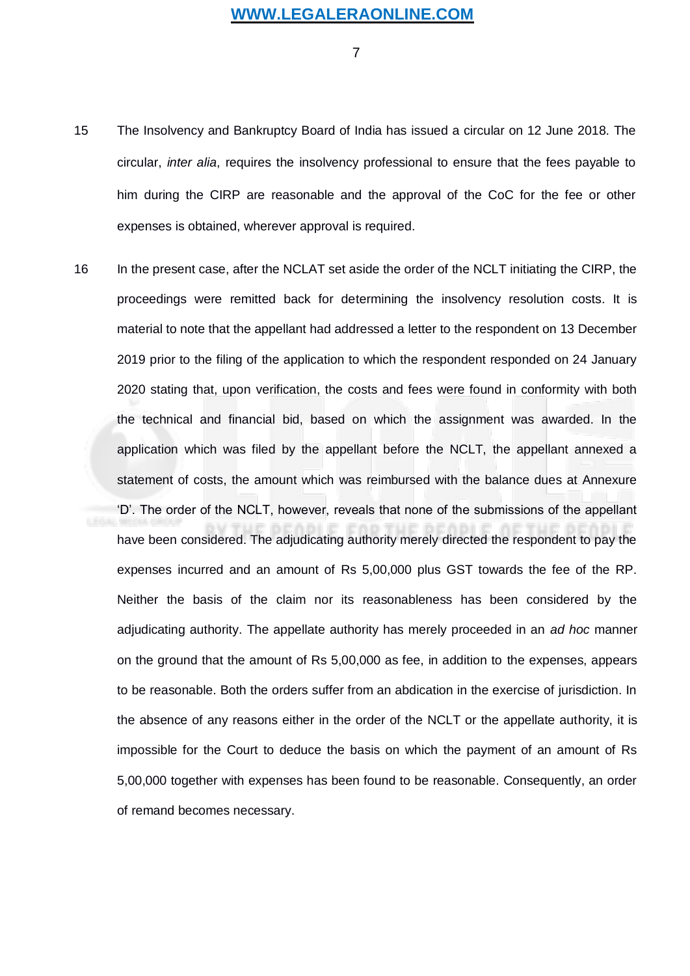7

- 15 The Insolvency and Bankruptcy Board of India has issued a circular on 12 June 2018. The circular, *inter alia*, requires the insolvency professional to ensure that the fees payable to him during the CIRP are reasonable and the approval of the CoC for the fee or other expenses is obtained, wherever approval is required.
- 16 In the present case, after the NCLAT set aside the order of the NCLT initiating the CIRP, the proceedings were remitted back for determining the insolvency resolution costs. It is material to note that the appellant had addressed a letter to the respondent on 13 December 2019 prior to the filing of the application to which the respondent responded on 24 January 2020 stating that, upon verification, the costs and fees were found in conformity with both the technical and financial bid, based on which the assignment was awarded. In the application which was filed by the appellant before the NCLT, the appellant annexed a statement of costs, the amount which was reimbursed with the balance dues at Annexure 'D'. The order of the NCLT, however, reveals that none of the submissions of the appellant have been considered. The adjudicating authority merely directed the respondent to pay the expenses incurred and an amount of Rs 5,00,000 plus GST towards the fee of the RP. Neither the basis of the claim nor its reasonableness has been considered by the adjudicating authority. The appellate authority has merely proceeded in an *ad hoc* manner on the ground that the amount of Rs 5,00,000 as fee, in addition to the expenses, appears to be reasonable. Both the orders suffer from an abdication in the exercise of jurisdiction. In the absence of any reasons either in the order of the NCLT or the appellate authority, it is impossible for the Court to deduce the basis on which the payment of an amount of Rs 5,00,000 together with expenses has been found to be reasonable. Consequently, an order of remand becomes necessary.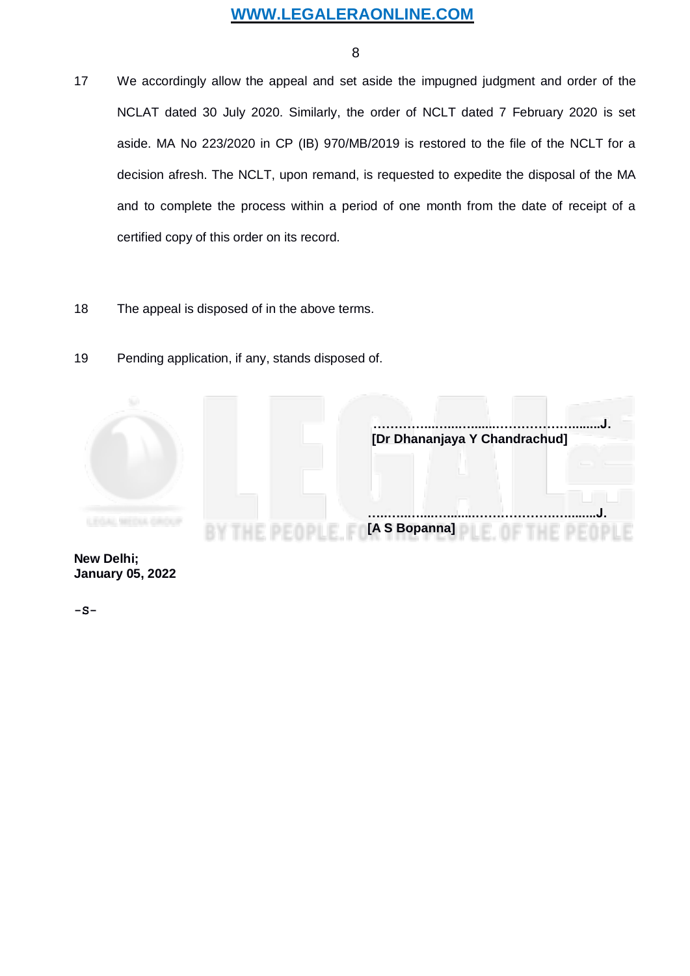8

- 17 We accordingly allow the appeal and set aside the impugned judgment and order of the NCLAT dated 30 July 2020. Similarly, the order of NCLT dated 7 February 2020 is set aside. MA No 223/2020 in CP (IB) 970/MB/2019 is restored to the file of the NCLT for a decision afresh. The NCLT, upon remand, is requested to expedite the disposal of the MA and to complete the process within a period of one month from the date of receipt of a certified copy of this order on its record.
- 18 The appeal is disposed of in the above terms.
- 19 Pending application, if any, stands disposed of.



**-S-**